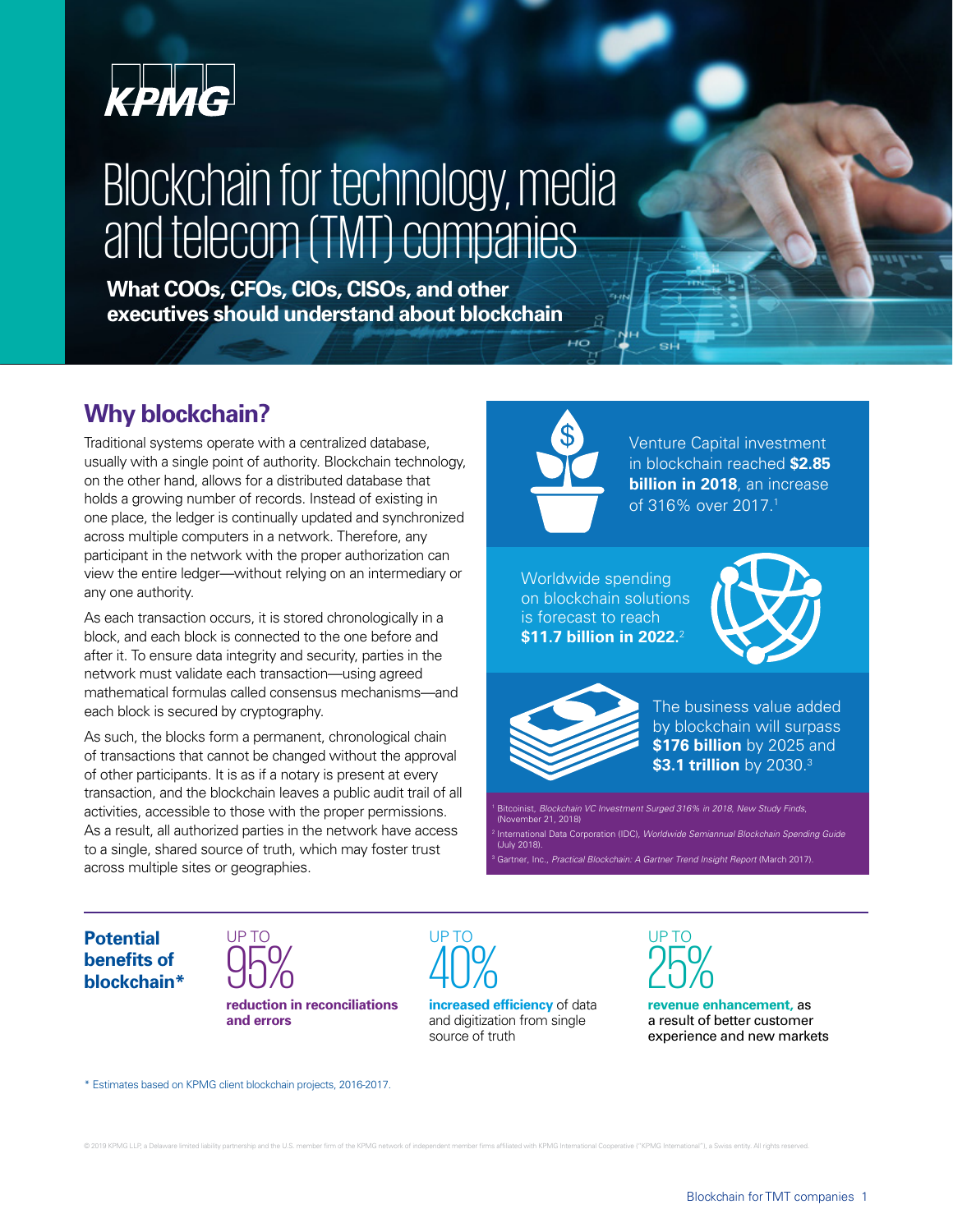

# Blockchain for technology, media and telecom (TMT) companies

**What COOs, CFOs, CIOs, CISOs, and other executives should understand about blockchain**

## **Why blockchain?**

Traditional systems operate with a centralized database, usually with a single point of authority. Blockchain technology, on the other hand, allows for a distributed database that holds a growing number of records. Instead of existing in one place, the ledger is continually updated and synchronized across multiple computers in a network. Therefore, any participant in the network with the proper authorization can view the entire ledger—without relying on an intermediary or any one authority.

As each transaction occurs, it is stored chronologically in a block, and each block is connected to the one before and after it. To ensure data integrity and security, parties in the network must validate each transaction—using agreed mathematical formulas called consensus mechanisms—and each block is secured by cryptography.

As such, the blocks form a permanent, chronological chain of transactions that cannot be changed without the approval of other participants. It is as if a notary is present at every transaction, and the blockchain leaves a public audit trail of all activities, accessible to those with the proper permissions. As a result, all authorized parties in the network have access to a single, shared source of truth, which may foster trust across multiple sites or geographies.



Venture Capital investment in blockchain reached **\$2.85 billion in 2018**, an increase of 316% over 2017.1

SH

Worldwide spending on blockchain solutions is forecast to reach **\$11.7 billion in 2022.** 





The business value added by blockchain will surpass **\$176 billion** by 2025 and **\$3.1 trillion** by 2030.3

Bitcoinist, Blockchain VC Investment Surged 316% in 2018, New Study Finds, (November 21, 2018)

national Data Corporation (IDC), Worldwide Semiannual Blockchain Spending Guide (July 2018).

Gartner, Inc., Practical Blockchain: A Gartner Trend Insight Report (March 2017).

**Potential benefits of blockchain\***



**reduction in reconciliations and errors**

UP TO UP TO UP TO

**increased efficiency** of data and digitization from single source of truth



**revenue enhancement,** as a result of better customer experience and new markets

\* Estimates based on KPMG client blockchain projects, 2016-2017.

© 2019 KPMG LLP, a Delaware limited liability partnership and the U.S. member firm of the KPMG network of independent member firms affiliated with KPMG International Cooperative ("KPMG International"), a Swiss entity. All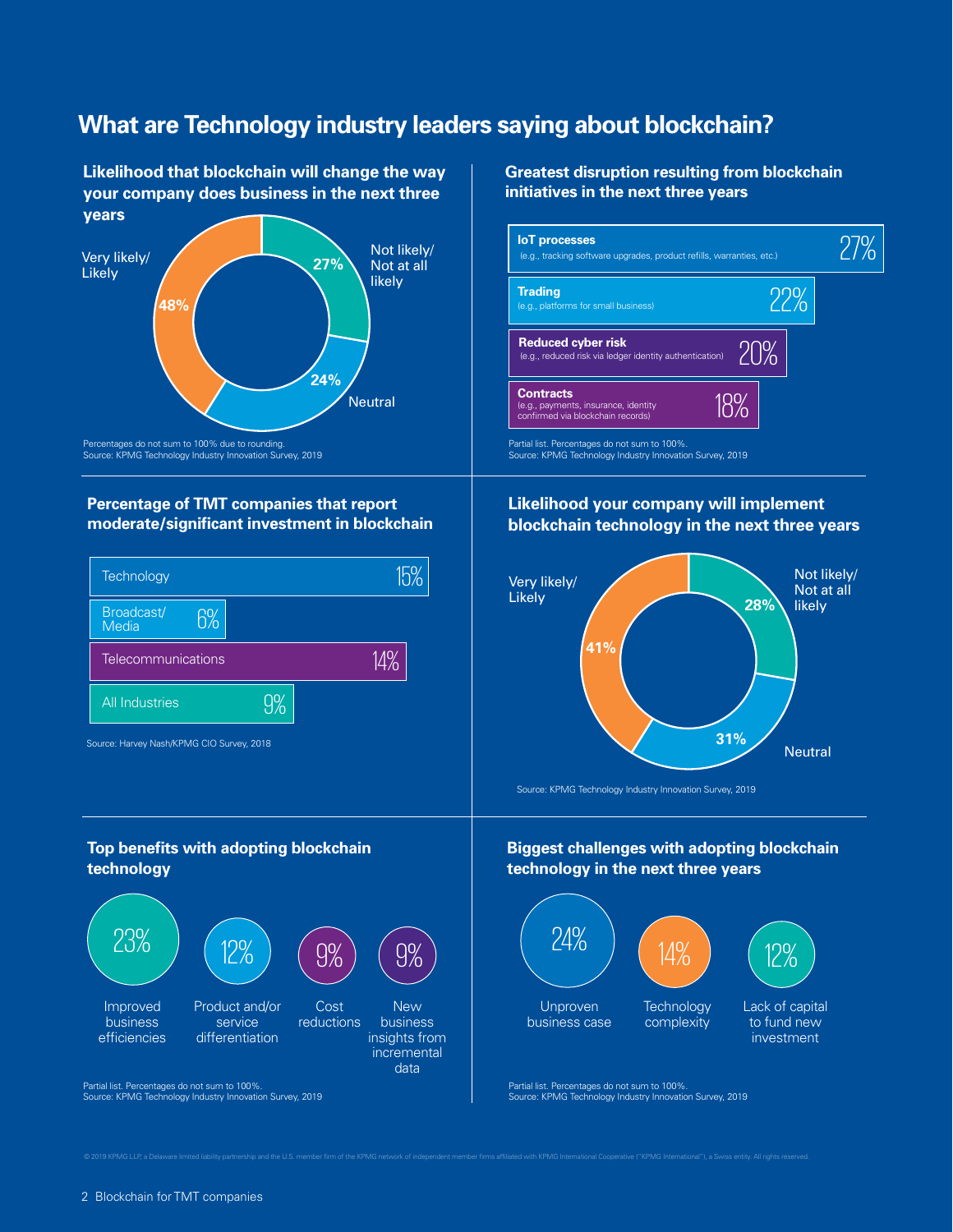# **What are Technology industry leaders saying about blockchain?**

**Likelihood that blockchain will change the way your company does business in the next three years**



Percentages do not sum to 100% due to rounding. Source: KPMG Technology Industry Innovation Survey, 2019

## **Percentage of TMT companies that report moderate/significant investment in blockchain**



## **Top benefits with adopting blockchain technology**



**Greatest disruption resulting from blockchain initiatives in the next three years**



Partial list. Percentages do not sum to 100%. Source: KPMG Technology Industry Innovation Survey, 2019

## **Likelihood your company will implement blockchain technology in the next three years**



Source: KPMG Technology Industry Innovation Survey, 2019

### **Biggest challenges with adopting blockchain technology in the next three years**



Partial list. Percentages do not sum to 100%. Source: KPMG Technology Industry Innovation Survey, 2019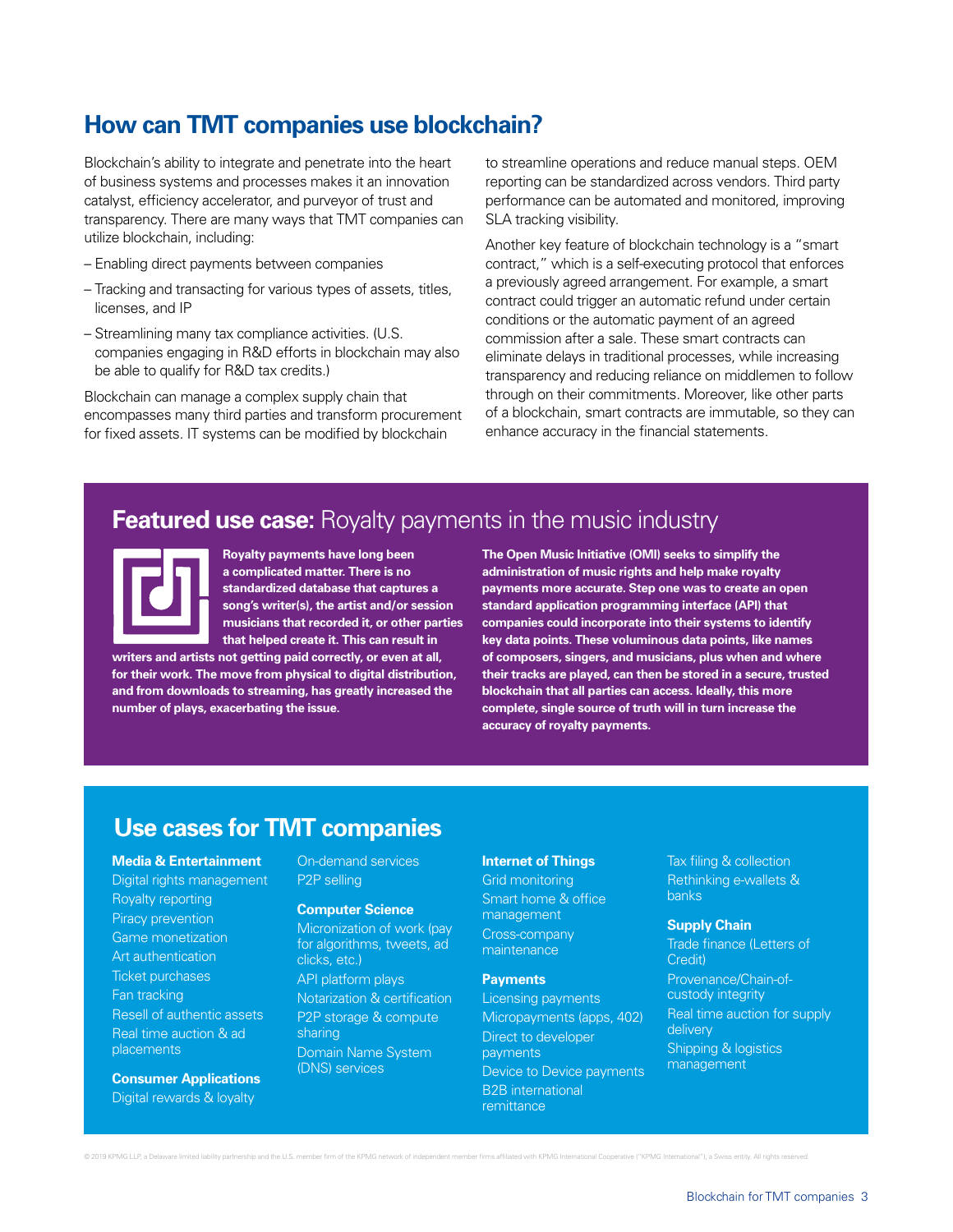# **How can TMT companies use blockchain?**

Blockchain's ability to integrate and penetrate into the heart of business systems and processes makes it an innovation catalyst, efficiency accelerator, and purveyor of trust and transparency. There are many ways that TMT companies can utilize blockchain, including:

- Enabling direct payments between companies
- Tracking and transacting for various types of assets, titles, licenses, and IP
- Streamlining many tax compliance activities. (U.S. companies engaging in R&D efforts in blockchain may also be able to qualify for R&D tax credits.)

Blockchain can manage a complex supply chain that encompasses many third parties and transform procurement for fixed assets. IT systems can be modified by blockchain

to streamline operations and reduce manual steps. OEM reporting can be standardized across vendors. Third party performance can be automated and monitored, improving SLA tracking visibility.

Another key feature of blockchain technology is a "smart contract," which is a self-executing protocol that enforces a previously agreed arrangement. For example, a smart contract could trigger an automatic refund under certain conditions or the automatic payment of an agreed commission after a sale. These smart contracts can eliminate delays in traditional processes, while increasing transparency and reducing reliance on middlemen to follow through on their commitments. Moreover, like other parts of a blockchain, smart contracts are immutable, so they can enhance accuracy in the financial statements.

## **Featured use case:** Royalty payments in the music industry



**Royalty payments have long been a complicated matter. There is no standardized database that captures a song's writer(s), the artist and/or session musicians that recorded it, or other parties that helped create it. This can result in** 

**writers and artists not getting paid correctly, or even at all, for their work. The move from physical to digital distribution, and from downloads to streaming, has greatly increased the number of plays, exacerbating the issue.** 

**The Open Music Initiative (OMI) seeks to simplify the administration of music rights and help make royalty payments more accurate. Step one was to create an open standard application programming interface (API) that companies could incorporate into their systems to identify key data points. These voluminous data points, like names of composers, singers, and musicians, plus when and where their tracks are played, can then be stored in a secure, trusted blockchain that all parties can access. Ideally, this more complete, single source of truth will in turn increase the accuracy of royalty payments.** 

## **Use cases for TMT companies**

**Media & Entertainment** Digital rights management Royalty reporting Piracy prevention Game monetization Art authentication Ticket purchases Fan tracking Resell of authentic assets Real time auction & ad placements

**Consumer Applications** Digital rewards & loyalty

On-demand services P2P selling

#### **Computer Science**

Micronization of work (pay for algorithms, tweets, ad clicks, etc.) API platform plays Notarization & certification P2P storage & compute sharing Domain Name System (DNS) services

#### **Internet of Things**

Grid monitoring Smart home & office management Cross-company maintenance

#### **Payments**

Licensing payments Micropayments (apps, 402) Direct to developer payments Device to Device payments B2B international remittance

Tax filing & collection Rethinking e-wallets & banks

#### **Supply Chain**

Trade finance (Letters of Credit) Provenance/Chain-ofcustody integrity Real time auction for supply delivery Shipping & logistics management

© 2019 KPMG LLP, a Delaware limited liability partnership and the U.S. member firm of the KPMG network of independent member firms affiliated with KPMG International Cooperative ("KPMG International"), a Swiss entity. All